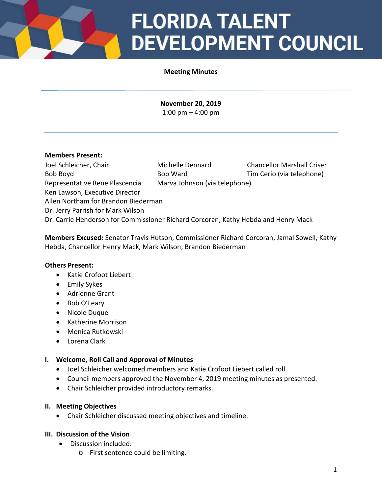# **FLORIDA TALENT DEVELOPMENT COUNCIL**

#### **Meeting Minutes**

**November 20, 2019** 1:00 pm – 4:00 pm

#### **Members Present:**

Joel Schleicher, Chair Michelle Dennard Chancellor Marshall Criser Bob Boyd **Bob Ward** Tim Cerio (via telephone) Representative Rene Plascencia Marva Johnson (via telephone) Ken Lawson, Executive Director Allen Northam for Brandon Biederman Dr. Jerry Parrish for Mark Wilson Dr. Carrie Henderson for Commissioner Richard Corcoran, Kathy Hebda and Henry Mack

**Members Excused:** Senator Travis Hutson, Commissioner Richard Corcoran, Jamal Sowell, Kathy Hebda, Chancellor Henry Mack, Mark Wilson, Brandon Biederman

#### **Others Present:**

- Katie Crofoot Liebert
- Emily Sykes
- Adrienne Grant
- Bob O'Leary
- Nicole Duque
- Katherine Morrison
- Monica Rutkowski
- Lorena Clark

#### **I. Welcome, Roll Call and Approval of Minutes**

- Joel Schleicher welcomed members and Katie Crofoot Liebert called roll.
- Council members approved the November 4, 2019 meeting minutes as presented.
- Chair Schleicher provided introductory remarks.

#### **II. Meeting Objectives**

• Chair Schleicher discussed meeting objectives and timeline.

#### **III. Discussion of the Vision**

- Discussion included:
	- o First sentence could be limiting.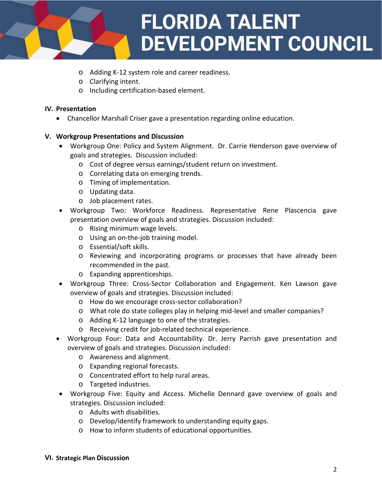

- o Adding K-12 system role and career readiness.
- o Clarifying intent.
- o Including certification-based element.

#### **IV. Presentation**

• Chancellor Marshall Criser gave a presentation regarding online education.

### **V. Workgroup Presentations and Discussion**

- Workgroup One: Policy and System Alignment. Dr. Carrie Henderson gave overview of goals and strategies. Discussion included:
	- o Cost of degree versus earnings/student return on investment.
	- o Correlating data on emerging trends.
	- o Timing of implementation.
	- o Updating data.
	- o Job placement rates.
- Workgroup Two: Workforce Readiness. Representative Rene Plascencia gave presentation overview of goals and strategies. Discussion included:
	- o Rising minimum wage levels.
	- o Using an on-the-job training model.
	- o Essential/soft skills.
	- o Reviewing and incorporating programs or processes that have already been recommended in the past.
	- o Expanding apprenticeships.
- Workgroup Three: Cross-Sector Collaboration and Engagement. Ken Lawson gave overview of goals and strategies. Discussion included:
	- o How do we encourage cross-sector collaboration?
	- o What role do state colleges play in helping mid-level and smaller companies?
	- o Adding K-12 language to one of the strategies.
	- o Receiving credit for job-related technical experience.
- Workgroup Four: Data and Accountability. Dr. Jerry Parrish gave presentation and overview of goals and strategies. Discussion included:
	- o Awareness and alignment.
	- o Expanding regional forecasts.
	- o Concentrated effort to help rural areas.
	- o Targeted industries.
- Workgroup Five: Equity and Access. Michelle Dennard gave overview of goals and strategies. Discussion included:
	- o Adults with disabilities.
	- o Develop/identify framework to understanding equity gaps.
	- o How to inform students of educational opportunities.